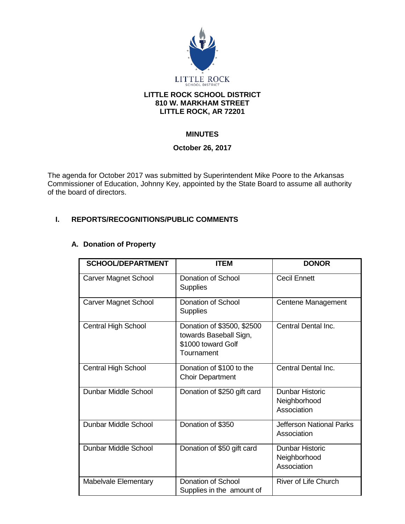

#### **LITTLE ROCK SCHOOL DISTRICT 810 W. MARKHAM STREET LITTLE ROCK, AR 72201**

# **MINUTES**

## **October 26, 2017**

The agenda for October 2017 was submitted by Superintendent Mike Poore to the Arkansas Commissioner of Education, Johnny Key, appointed by the State Board to assume all authority of the board of directors.

## **I. REPORTS/RECOGNITIONS/PUBLIC COMMENTS**

# **A. Donation of Property**

| <b>SCHOOL/DEPARTMENT</b>    | <b>ITEM</b>                                                                              | <b>DONOR</b>                                          |
|-----------------------------|------------------------------------------------------------------------------------------|-------------------------------------------------------|
| <b>Carver Magnet School</b> | Donation of School<br><b>Supplies</b>                                                    | <b>Cecil Ennett</b>                                   |
| <b>Carver Magnet School</b> | Donation of School<br><b>Supplies</b>                                                    | Centene Management                                    |
| <b>Central High School</b>  | Donation of \$3500, \$2500<br>towards Baseball Sign,<br>\$1000 toward Golf<br>Tournament | Central Dental Inc.                                   |
| Central High School         | Donation of \$100 to the<br><b>Choir Department</b>                                      | Central Dental Inc.                                   |
| Dunbar Middle School        | Donation of \$250 gift card                                                              | Dunbar Historic<br>Neighborhood<br>Association        |
| Dunbar Middle School        | Donation of \$350                                                                        | <b>Jefferson National Parks</b><br>Association        |
| Dunbar Middle School        | Donation of \$50 gift card                                                               | <b>Dunbar Historic</b><br>Neighborhood<br>Association |
| <b>Mabelvale Elementary</b> | Donation of School<br>Supplies in the amount of                                          | <b>River of Life Church</b>                           |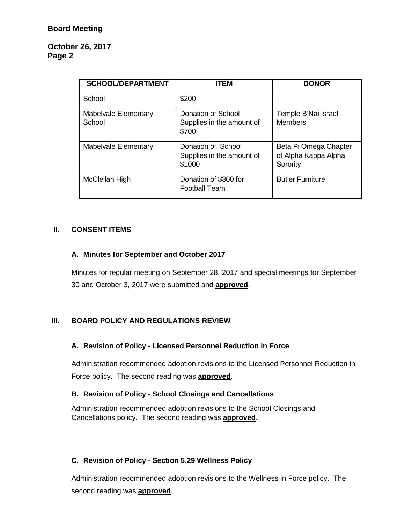## **October 26, 2017 Page 2**

| <b>SCHOOL/DEPARTMENT</b>              | <b>ITEM</b>                                               | <b>DONOR</b>                                              |
|---------------------------------------|-----------------------------------------------------------|-----------------------------------------------------------|
| School                                | \$200                                                     |                                                           |
| <b>Mabelvale Elementary</b><br>School | Donation of School<br>Supplies in the amount of<br>\$700  | Temple B'Nai Israel<br><b>Members</b>                     |
| <b>Mabelvale Elementary</b>           | Donation of School<br>Supplies in the amount of<br>\$1000 | Beta Pi Omega Chapter<br>of Alpha Kappa Alpha<br>Sorority |
| McClellan High                        | Donation of \$300 for<br><b>Football Team</b>             | <b>Butler Furniture</b>                                   |

# **II. CONSENT ITEMS**

## **A. Minutes for September and October 2017**

Minutes for regular meeting on September 28, 2017 and special meetings for September 30 and October 3, 2017 were submitted and **approved**.

# **III. BOARD POLICY AND REGULATIONS REVIEW**

#### **A. Revision of Policy - Licensed Personnel Reduction in Force**

Administration recommended adoption revisions to the Licensed Personnel Reduction in Force policy. The second reading was **approved**.

#### **B. Revision of Policy - School Closings and Cancellations**

Administration recommended adoption revisions to the School Closings and Cancellations policy. The second reading was **approved**.

#### **C. Revision of Policy - Section 5.29 Wellness Policy**

Administration recommended adoption revisions to the Wellness in Force policy. The second reading was **approved**.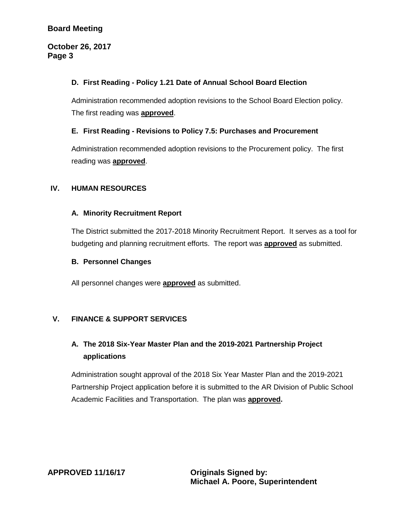# **Board Meeting**

#### **October 26, 2017 Page 3**

## **D. First Reading - Policy 1.21 Date of Annual School Board Election**

Administration recommended adoption revisions to the School Board Election policy. The first reading was **approved**.

#### **E. First Reading - Revisions to Policy 7.5: Purchases and Procurement**

Administration recommended adoption revisions to the Procurement policy. The first reading was **approved**.

## **IV. HUMAN RESOURCES**

## **A. Minority Recruitment Report**

The District submitted the 2017-2018 Minority Recruitment Report. It serves as a tool for budgeting and planning recruitment efforts. The report was **approved** as submitted.

#### **B. Personnel Changes**

All personnel changes were **approved** as submitted.

# **V. FINANCE & SUPPORT SERVICES**

# **A. The 2018 Six-Year Master Plan and the 2019-2021 Partnership Project applications**

Administration sought approval of the 2018 Six Year Master Plan and the 2019-2021 Partnership Project application before it is submitted to the AR Division of Public School Academic Facilities and Transportation. The plan was **approved.**

**APPROVED 11/16/17 Originals Signed by:**

**Michael A. Poore, Superintendent**